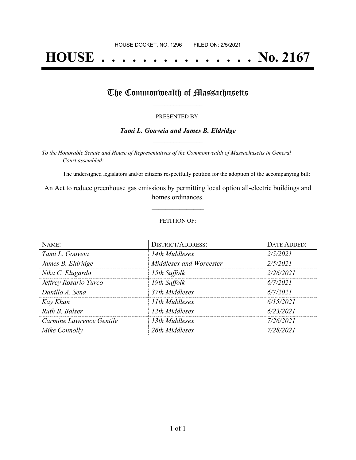# **HOUSE . . . . . . . . . . . . . . . No. 2167**

## The Commonwealth of Massachusetts

#### PRESENTED BY:

#### *Tami L. Gouveia and James B. Eldridge* **\_\_\_\_\_\_\_\_\_\_\_\_\_\_\_\_\_**

*To the Honorable Senate and House of Representatives of the Commonwealth of Massachusetts in General Court assembled:*

The undersigned legislators and/or citizens respectfully petition for the adoption of the accompanying bill:

An Act to reduce greenhouse gas emissions by permitting local option all-electric buildings and homes ordinances.

**\_\_\_\_\_\_\_\_\_\_\_\_\_\_\_**

#### PETITION OF:

| NAME:                    | <b>DISTRICT/ADDRESS:</b> | <b>DATE ADDED:</b> |
|--------------------------|--------------------------|--------------------|
| Tami L. Gouveia          | 14th Middlesex           | 2/5/2021           |
| James B. Eldridge        | Middlesex and Worcester  | 2/5/2021           |
| Nika C. Elugardo         | 15th Suffolk             | 2/26/2021          |
| Jeffrey Rosario Turco    | 19th Suffolk             | 6/7/2021           |
| Danillo A. Sena          | 37th Middlesex           | 6/7/2021           |
| Kay Khan                 | 11th Middlesex           | 6/15/2021          |
| Ruth B. Balser           | 12th Middlesex           | 6/23/2021          |
| Carmine Lawrence Gentile | 13th Middlesex           | 7/26/2021          |
| Mike Connolly            | 26th Middlesex           | 7/28/2021          |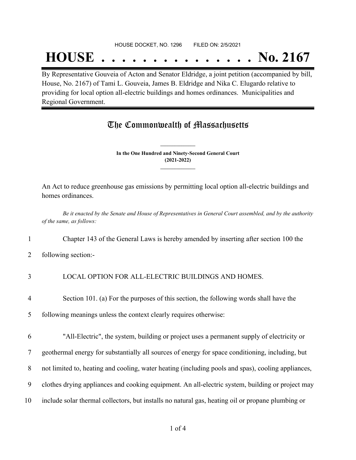#### HOUSE DOCKET, NO. 1296 FILED ON: 2/5/2021

## **HOUSE . . . . . . . . . . . . . . . No. 2167**

By Representative Gouveia of Acton and Senator Eldridge, a joint petition (accompanied by bill, House, No. 2167) of Tami L. Gouveia, James B. Eldridge and Nika C. Elugardo relative to providing for local option all-electric buildings and homes ordinances. Municipalities and Regional Government.

## The Commonwealth of Massachusetts

**In the One Hundred and Ninety-Second General Court (2021-2022) \_\_\_\_\_\_\_\_\_\_\_\_\_\_\_**

**\_\_\_\_\_\_\_\_\_\_\_\_\_\_\_**

An Act to reduce greenhouse gas emissions by permitting local option all-electric buildings and homes ordinances.

Be it enacted by the Senate and House of Representatives in General Court assembled, and by the authority *of the same, as follows:*

1 Chapter 143 of the General Laws is hereby amended by inserting after section 100 the

2 following section:-

#### 3 LOCAL OPTION FOR ALL-ELECTRIC BUILDINGS AND HOMES.

4 Section 101. (a) For the purposes of this section, the following words shall have the

5 following meanings unless the context clearly requires otherwise:

6 "All-Electric", the system, building or project uses a permanent supply of electricity or

7 geothermal energy for substantially all sources of energy for space conditioning, including, but

- 8 not limited to, heating and cooling, water heating (including pools and spas), cooling appliances,
- 9 clothes drying appliances and cooking equipment. An all-electric system, building or project may
- 10 include solar thermal collectors, but installs no natural gas, heating oil or propane plumbing or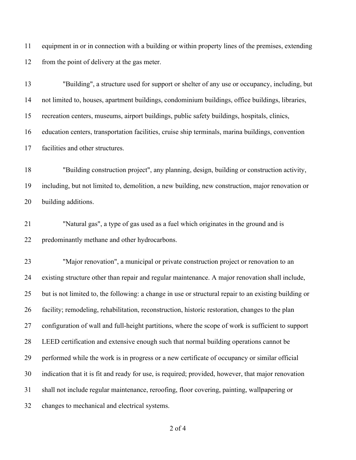equipment in or in connection with a building or within property lines of the premises, extending from the point of delivery at the gas meter.

 "Building", a structure used for support or shelter of any use or occupancy, including, but not limited to, houses, apartment buildings, condominium buildings, office buildings, libraries, recreation centers, museums, airport buildings, public safety buildings, hospitals, clinics, education centers, transportation facilities, cruise ship terminals, marina buildings, convention facilities and other structures.

 "Building construction project", any planning, design, building or construction activity, including, but not limited to, demolition, a new building, new construction, major renovation or building additions.

 "Natural gas", a type of gas used as a fuel which originates in the ground and is predominantly methane and other hydrocarbons.

 "Major renovation", a municipal or private construction project or renovation to an existing structure other than repair and regular maintenance. A major renovation shall include, but is not limited to, the following: a change in use or structural repair to an existing building or facility; remodeling, rehabilitation, reconstruction, historic restoration, changes to the plan configuration of wall and full-height partitions, where the scope of work is sufficient to support LEED certification and extensive enough such that normal building operations cannot be performed while the work is in progress or a new certificate of occupancy or similar official indication that it is fit and ready for use, is required; provided, however, that major renovation shall not include regular maintenance, reroofing, floor covering, painting, wallpapering or changes to mechanical and electrical systems.

of 4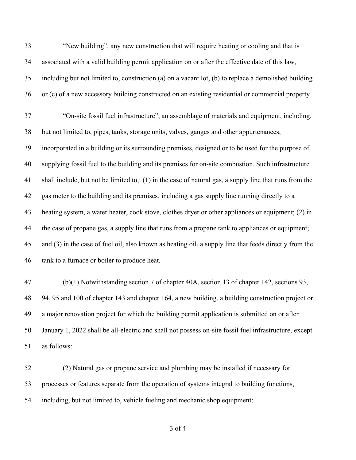"New building", any new construction that will require heating or cooling and that is associated with a valid building permit application on or after the effective date of this law, including but not limited to, construction (a) on a vacant lot, (b) to replace a demolished building or (c) of a new accessory building constructed on an existing residential or commercial property.

 "On-site fossil fuel infrastructure", an assemblage of materials and equipment, including, but not limited to, pipes, tanks, storage units, valves, gauges and other appurtenances, incorporated in a building or its surrounding premises, designed or to be used for the purpose of supplying fossil fuel to the building and its premises for on-site combustion. Such infrastructure shall include, but not be limited to,: (1) in the case of natural gas, a supply line that runs from the gas meter to the building and its premises, including a gas supply line running directly to a heating system, a water heater, cook stove, clothes dryer or other appliances or equipment; (2) in the case of propane gas, a supply line that runs from a propane tank to appliances or equipment; and (3) in the case of fuel oil, also known as heating oil, a supply line that feeds directly from the tank to a furnace or boiler to produce heat.

 (b)(1) Notwithstanding section 7 of chapter 40A, section 13 of chapter 142, sections 93, 94, 95 and 100 of chapter 143 and chapter 164, a new building, a building construction project or a major renovation project for which the building permit application is submitted on or after January 1, 2022 shall be all-electric and shall not possess on-site fossil fuel infrastructure, except as follows:

 (2) Natural gas or propane service and plumbing may be installed if necessary for processes or features separate from the operation of systems integral to building functions, including, but not limited to, vehicle fueling and mechanic shop equipment;

of 4